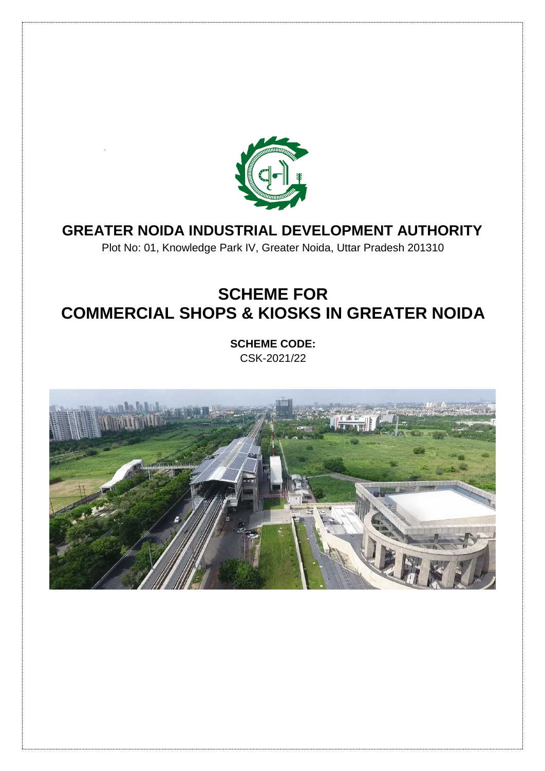

## **GREATER NOIDA INDUSTRIAL DEVELOPMENT AUTHORITY**

Plot No: 01, Knowledge Park IV, Greater Noida, Uttar Pradesh 201310

# **SCHEME FOR COMMERCIAL SHOPS & KIOSKS IN GREATER NOIDA**

**SCHEME CODE:**  CSK-2021/22

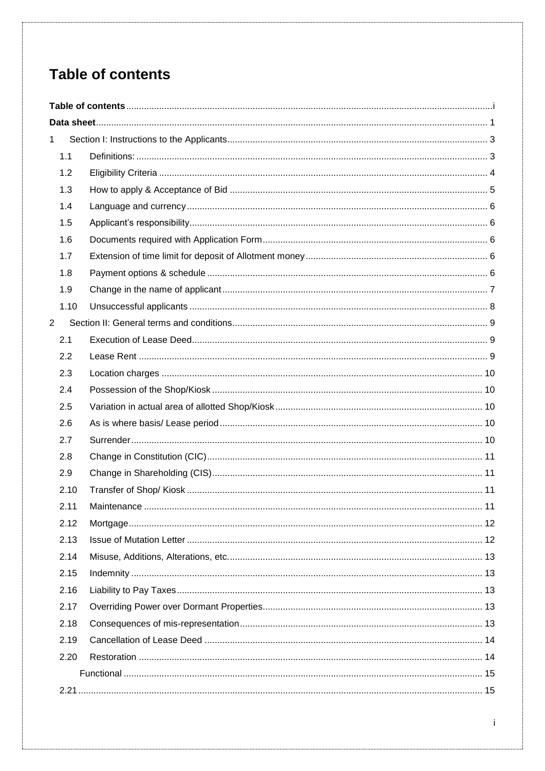# <span id="page-1-0"></span>**Table of contents**

| $\mathbf{1}$   |  |
|----------------|--|
| 1.1            |  |
| 1.2            |  |
| 1.3            |  |
| 1.4            |  |
| 1.5            |  |
| 1.6            |  |
| 1.7            |  |
| 1.8            |  |
| 1.9            |  |
| 1.10           |  |
| $\overline{2}$ |  |
| 2.1            |  |
| 2.2            |  |
| 2.3            |  |
| 2.4            |  |
| 2.5            |  |
| 2.6            |  |
| 2.7            |  |
| 2.8            |  |
| 2.9            |  |
| 2.10           |  |
| 2.11           |  |
| 2.12           |  |
| 2.13           |  |
| 2.14           |  |
| 2.15           |  |
| 2.16           |  |
| 2.17           |  |
| 2.18           |  |
| 2.19           |  |
| 2.20           |  |
|                |  |
|                |  |

 $\mathbf i$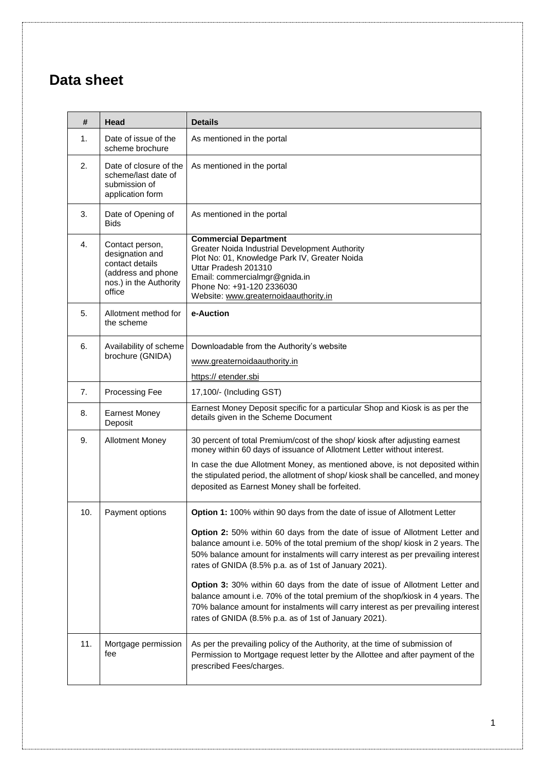## <span id="page-3-0"></span>**Data sheet**

| #                            | Head                                                                                                            | <b>Details</b>                                                                                                                                                                                                                                                                                                      |  |
|------------------------------|-----------------------------------------------------------------------------------------------------------------|---------------------------------------------------------------------------------------------------------------------------------------------------------------------------------------------------------------------------------------------------------------------------------------------------------------------|--|
| 1.                           | Date of issue of the<br>scheme brochure                                                                         | As mentioned in the portal                                                                                                                                                                                                                                                                                          |  |
| 2.                           | Date of closure of the<br>scheme/last date of<br>submission of<br>application form                              | As mentioned in the portal                                                                                                                                                                                                                                                                                          |  |
| 3.                           | Date of Opening of<br><b>Bids</b>                                                                               | As mentioned in the portal                                                                                                                                                                                                                                                                                          |  |
| 4.                           | Contact person,<br>designation and<br>contact details<br>(address and phone<br>nos.) in the Authority<br>office | <b>Commercial Department</b><br>Greater Noida Industrial Development Authority<br>Plot No: 01, Knowledge Park IV, Greater Noida<br>Uttar Pradesh 201310<br>Email: commercialmgr@gnida.in<br>Phone No: +91-120 2336030<br>Website: www.greaternoidaauthority.in                                                      |  |
| 5.                           | Allotment method for<br>the scheme                                                                              | e-Auction                                                                                                                                                                                                                                                                                                           |  |
| 6.<br>Availability of scheme |                                                                                                                 | Downloadable from the Authority's website                                                                                                                                                                                                                                                                           |  |
|                              | brochure (GNIDA)                                                                                                | www.greaternoidaauthority.in                                                                                                                                                                                                                                                                                        |  |
|                              |                                                                                                                 | https:// etender.sbi                                                                                                                                                                                                                                                                                                |  |
| 7.                           | Processing Fee                                                                                                  | 17,100/- (Including GST)                                                                                                                                                                                                                                                                                            |  |
| 8.                           | <b>Earnest Money</b><br>Deposit                                                                                 | Earnest Money Deposit specific for a particular Shop and Kiosk is as per the<br>details given in the Scheme Document                                                                                                                                                                                                |  |
| 9.                           | <b>Allotment Money</b>                                                                                          | 30 percent of total Premium/cost of the shop/ kiosk after adjusting earnest<br>money within 60 days of issuance of Allotment Letter without interest.                                                                                                                                                               |  |
|                              |                                                                                                                 | In case the due Allotment Money, as mentioned above, is not deposited within<br>the stipulated period, the allotment of shop/kiosk shall be cancelled, and money<br>deposited as Earnest Money shall be forfeited.                                                                                                  |  |
| 10.                          | Payment options                                                                                                 | Option 1: 100% within 90 days from the date of issue of Allotment Letter                                                                                                                                                                                                                                            |  |
|                              |                                                                                                                 | <b>Option 2:</b> 50% within 60 days from the date of issue of Allotment Letter and<br>balance amount i.e. 50% of the total premium of the shop/ kiosk in 2 years. The<br>50% balance amount for instalments will carry interest as per prevailing interest<br>rates of GNIDA (8.5% p.a. as of 1st of January 2021). |  |
|                              |                                                                                                                 | Option 3: 30% within 60 days from the date of issue of Allotment Letter and<br>balance amount i.e. 70% of the total premium of the shop/kiosk in 4 years. The<br>70% balance amount for instalments will carry interest as per prevailing interest<br>rates of GNIDA (8.5% p.a. as of 1st of January 2021).         |  |
| 11.                          | Mortgage permission<br>fee                                                                                      | As per the prevailing policy of the Authority, at the time of submission of<br>Permission to Mortgage request letter by the Allottee and after payment of the<br>prescribed Fees/charges.                                                                                                                           |  |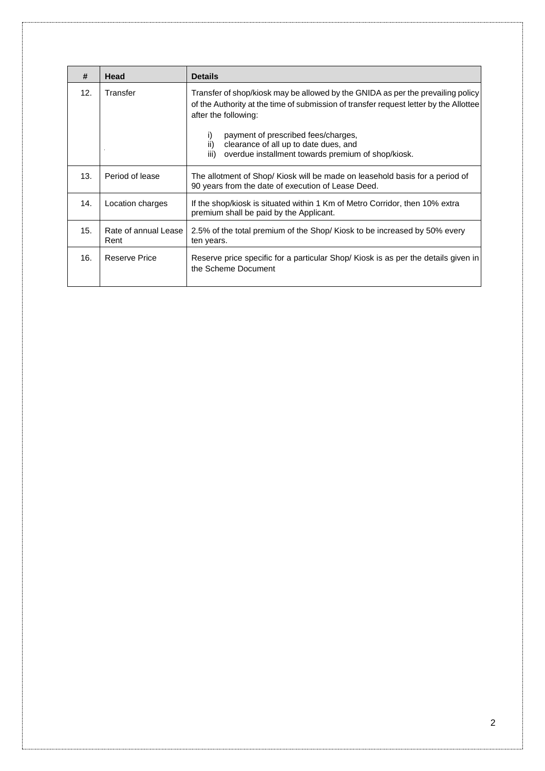| #   | Head                         | <b>Details</b>                                                                                                                                                                                   |  |
|-----|------------------------------|--------------------------------------------------------------------------------------------------------------------------------------------------------------------------------------------------|--|
| 12. | Transfer                     | Transfer of shop/kiosk may be allowed by the GNIDA as per the prevailing policy<br>of the Authority at the time of submission of transfer request letter by the Allottee<br>after the following: |  |
|     |                              | payment of prescribed fees/charges,<br>i)<br>ii)<br>clearance of all up to date dues, and<br>iii)<br>overdue installment towards premium of shop/kiosk.                                          |  |
| 13. | Period of lease              | The allotment of Shop/ Kiosk will be made on leasehold basis for a period of<br>90 years from the date of execution of Lease Deed.                                                               |  |
| 14. | Location charges             | If the shop/kiosk is situated within 1 Km of Metro Corridor, then 10% extra<br>premium shall be paid by the Applicant.                                                                           |  |
| 15. | Rate of annual Lease<br>Rent | 2.5% of the total premium of the Shop/Kiosk to be increased by 50% every<br>ten years.                                                                                                           |  |
| 16. | Reserve Price                | Reserve price specific for a particular Shop/ Kiosk is as per the details given in<br>the Scheme Document                                                                                        |  |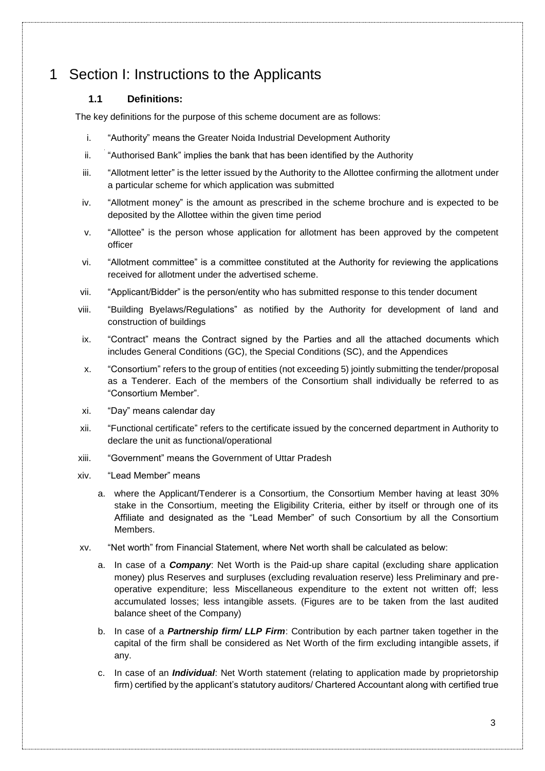## <span id="page-5-1"></span><span id="page-5-0"></span>1 Section I: Instructions to the Applicants

## **1.1 Definitions:**

The key definitions for the purpose of this scheme document are as follows:

- i. "Authority" means the Greater Noida Industrial Development Authority
- ii. "Authorised Bank" implies the bank that has been identified by the Authority
- iii. "Allotment letter" is the letter issued by the Authority to the Allottee confirming the allotment under a particular scheme for which application was submitted
- iv. "Allotment money" is the amount as prescribed in the scheme brochure and is expected to be deposited by the Allottee within the given time period
- v. "Allottee" is the person whose application for allotment has been approved by the competent officer
- vi. "Allotment committee" is a committee constituted at the Authority for reviewing the applications received for allotment under the advertised scheme.
- vii. "Applicant/Bidder" is the person/entity who has submitted response to this tender document
- viii. "Building Byelaws/Regulations" as notified by the Authority for development of land and construction of buildings
- ix. "Contract" means the Contract signed by the Parties and all the attached documents which includes General Conditions (GC), the Special Conditions (SC), and the Appendices
- x. "Consortium" refers to the group of entities (not exceeding 5) jointly submitting the tender/proposal as a Tenderer. Each of the members of the Consortium shall individually be referred to as "Consortium Member".
- xi. "Day" means calendar day
- xii. "Functional certificate" refers to the certificate issued by the concerned department in Authority to declare the unit as functional/operational
- xiii. "Government" means the Government of Uttar Pradesh
- xiv. "Lead Member" means
	- a. where the Applicant/Tenderer is a Consortium, the Consortium Member having at least 30% stake in the Consortium, meeting the Eligibility Criteria, either by itself or through one of its Affiliate and designated as the "Lead Member" of such Consortium by all the Consortium Members.
- xv. "Net worth" from Financial Statement, where Net worth shall be calculated as below:
	- a. In case of a *Company*: Net Worth is the Paid-up share capital (excluding share application money) plus Reserves and surpluses (excluding revaluation reserve) less Preliminary and preoperative expenditure; less Miscellaneous expenditure to the extent not written off; less accumulated losses; less intangible assets. (Figures are to be taken from the last audited balance sheet of the Company)
	- b. In case of a *Partnership firm/ LLP Firm*: Contribution by each partner taken together in the capital of the firm shall be considered as Net Worth of the firm excluding intangible assets, if any.
	- c. In case of an *Individual*: Net Worth statement (relating to application made by proprietorship firm) certified by the applicant's statutory auditors/ Chartered Accountant along with certified true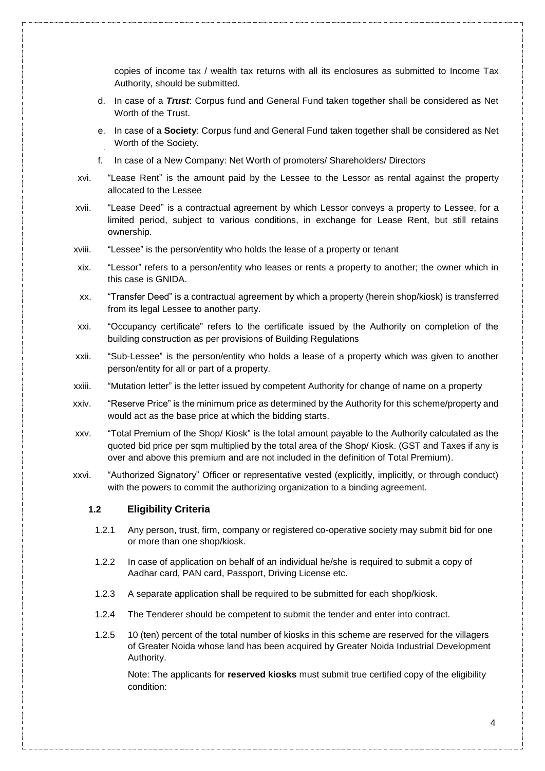copies of income tax / wealth tax returns with all its enclosures as submitted to Income Tax Authority, should be submitted.

- d. In case of a *Trust*: Corpus fund and General Fund taken together shall be considered as Net Worth of the Trust.
- e. In case of a **Society**: Corpus fund and General Fund taken together shall be considered as Net Worth of the Society.
- f. In case of a New Company: Net Worth of promoters/ Shareholders/ Directors
- xvi. "Lease Rent" is the amount paid by the Lessee to the Lessor as rental against the property allocated to the Lessee
- xvii. "Lease Deed" is a contractual agreement by which Lessor conveys a property to Lessee, for a limited period, subject to various conditions, in exchange for Lease Rent, but still retains ownership.
- xviii. "Lessee" is the person/entity who holds the lease of a property or tenant
- xix. "Lessor" refers to a person/entity who leases or rents a property to another; the owner which in this case is GNIDA.
- xx. "Transfer Deed" is a contractual agreement by which a property (herein shop/kiosk) is transferred from its legal Lessee to another party.
- xxi. "Occupancy certificate" refers to the certificate issued by the Authority on completion of the building construction as per provisions of Building Regulations
- xxii. "Sub-Lessee" is the person/entity who holds a lease of a property which was given to another person/entity for all or part of a property.
- xxiii. "Mutation letter" is the letter issued by competent Authority for change of name on a property
- xxiv. "Reserve Price" is the minimum price as determined by the Authority for this scheme/property and would act as the base price at which the bidding starts.
- xxv. "Total Premium of the Shop/ Kiosk" is the total amount payable to the Authority calculated as the quoted bid price per sqm multiplied by the total area of the Shop/ Kiosk. (GST and Taxes if any is over and above this premium and are not included in the definition of Total Premium).
- <span id="page-6-0"></span>xxvi. "Authorized Signatory" Officer or representative vested (explicitly, implicitly, or through conduct) with the powers to commit the authorizing organization to a binding agreement.

#### **1.2 Eligibility Criteria**

- 1.2.1 Any person, trust, firm, company or registered co-operative society may submit bid for one or more than one shop/kiosk.
- 1.2.2 In case of application on behalf of an individual he/she is required to submit a copy of Aadhar card, PAN card, Passport, Driving License etc.
- 1.2.3 A separate application shall be required to be submitted for each shop/kiosk.
- 1.2.4 The Tenderer should be competent to submit the tender and enter into contract.
- 1.2.5 10 (ten) percent of the total number of kiosks in this scheme are reserved for the villagers of Greater Noida whose land has been acquired by Greater Noida Industrial Development Authority.

Note: The applicants for **reserved kiosks** must submit true certified copy of the eligibility condition: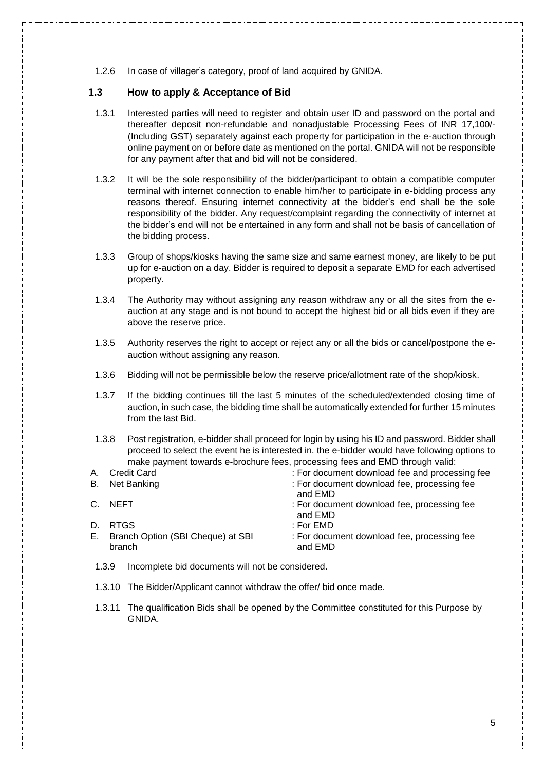1.2.6 In case of villager's category, proof of land acquired by GNIDA.

## <span id="page-7-0"></span>**1.3 How to apply & Acceptance of Bid**

- 1.3.1 Interested parties will need to register and obtain user ID and password on the portal and thereafter deposit non-refundable and nonadjustable Processing Fees of INR 17,100/- (Including GST) separately against each property for participation in the e-auction through online payment on or before date as mentioned on the portal. GNIDA will not be responsible for any payment after that and bid will not be considered.
- 1.3.2 It will be the sole responsibility of the bidder/participant to obtain a compatible computer terminal with internet connection to enable him/her to participate in e-bidding process any reasons thereof. Ensuring internet connectivity at the bidder's end shall be the sole responsibility of the bidder. Any request/complaint regarding the connectivity of internet at the bidder's end will not be entertained in any form and shall not be basis of cancellation of the bidding process.
- 1.3.3 Group of shops/kiosks having the same size and same earnest money, are likely to be put up for e-auction on a day. Bidder is required to deposit a separate EMD for each advertised property.
- 1.3.4 The Authority may without assigning any reason withdraw any or all the sites from the eauction at any stage and is not bound to accept the highest bid or all bids even if they are above the reserve price.
- 1.3.5 Authority reserves the right to accept or reject any or all the bids or cancel/postpone the eauction without assigning any reason.
- 1.3.6 Bidding will not be permissible below the reserve price/allotment rate of the shop/kiosk.
- 1.3.7 If the bidding continues till the last 5 minutes of the scheduled/extended closing time of auction, in such case, the bidding time shall be automatically extended for further 15 minutes from the last Bid.
- 1.3.8 Post registration, e-bidder shall proceed for login by using his ID and password. Bidder shall proceed to select the event he is interested in. the e-bidder would have following options to make payment towards e-brochure fees, processing fees and EMD through valid:
- A. Credit Card : For document download fee and processing fee B. Net Banking **in Equation 1. For document download fee**, processing fee and EMD C. NEFT : For document download fee, processing fee and EMD D. RTGS : For EMD E. Branch Option (SBI Cheque) at SBI branch : For document download fee, processing fee and EMD
- 1.3.9 Incomplete bid documents will not be considered.
- 1.3.10 The Bidder/Applicant cannot withdraw the offer/ bid once made.
- 1.3.11 The qualification Bids shall be opened by the Committee constituted for this Purpose by GNIDA.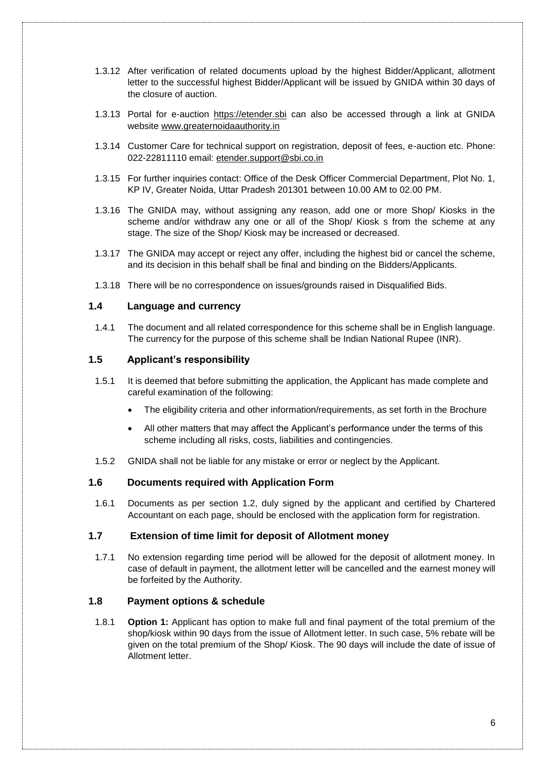- 1.3.12 After verification of related documents upload by the highest Bidder/Applicant, allotment letter to the successful highest Bidder/Applicant will be issued by GNIDA within 30 days of the closure of auction.
- 1.3.13 Portal for e-auction [https://etender.sbi](https://etender.sbi/) can also be accessed through a link at GNIDA website [www.greaternoidaauthority.in](http://www.greaternoidaauthority.in/)
- 1.3.14 Customer Care for technical support on registration, deposit of fees, e-auction etc. Phone: 022-22811110 email: [etender.support@sbi.co.in](mailto:etender.support@sbi.co.in)
- 1.3.15 For further inquiries contact: Office of the Desk Officer Commercial Department, Plot No. 1, KP IV, Greater Noida, Uttar Pradesh 201301 between 10.00 AM to 02.00 PM.
- 1.3.16 The GNIDA may, without assigning any reason, add one or more Shop/ Kiosks in the scheme and/or withdraw any one or all of the Shop/ Kiosk s from the scheme at any stage. The size of the Shop/ Kiosk may be increased or decreased.
- 1.3.17 The GNIDA may accept or reject any offer, including the highest bid or cancel the scheme, and its decision in this behalf shall be final and binding on the Bidders/Applicants.
- 1.3.18 There will be no correspondence on issues/grounds raised in Disqualified Bids.

#### <span id="page-8-0"></span>**1.4 Language and currency**

1.4.1 The document and all related correspondence for this scheme shall be in English language. The currency for the purpose of this scheme shall be Indian National Rupee (INR).

## <span id="page-8-1"></span>**1.5 Applicant's responsibility**

- 1.5.1 It is deemed that before submitting the application, the Applicant has made complete and careful examination of the following:
	- The eligibility criteria and other information/requirements, as set forth in the Brochure
	- All other matters that may affect the Applicant's performance under the terms of this scheme including all risks, costs, liabilities and contingencies.
- 1.5.2 GNIDA shall not be liable for any mistake or error or neglect by the Applicant.

#### <span id="page-8-2"></span>**1.6 Documents required with Application Form**

1.6.1 Documents as per section 1.2, duly signed by the applicant and certified by Chartered Accountant on each page, should be enclosed with the application form for registration.

### <span id="page-8-3"></span>**1.7 Extension of time limit for deposit of Allotment money**

1.7.1 No extension regarding time period will be allowed for the deposit of allotment money. In case of default in payment, the allotment letter will be cancelled and the earnest money will be forfeited by the Authority.

## <span id="page-8-4"></span>**1.8 Payment options & schedule**

1.8.1 **Option 1:** Applicant has option to make full and final payment of the total premium of the shop/kiosk within 90 days from the issue of Allotment letter. In such case, 5% rebate will be given on the total premium of the Shop/ Kiosk. The 90 days will include the date of issue of Allotment letter.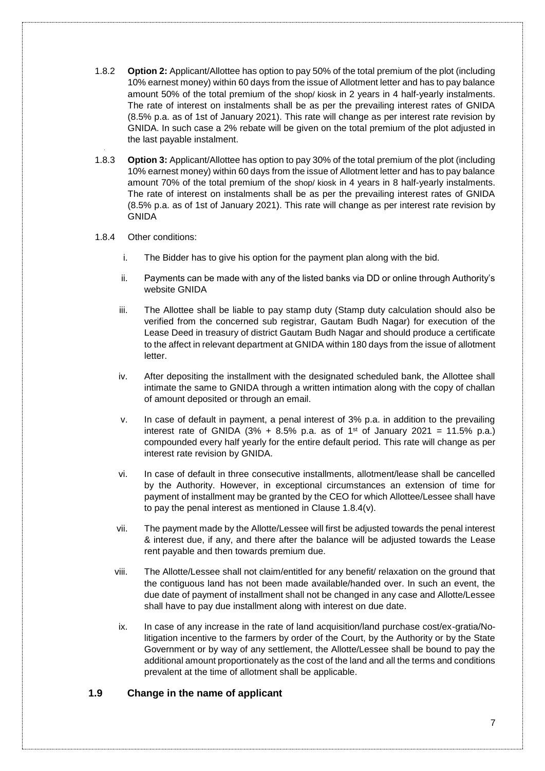- 1.8.2 **Option 2:** Applicant/Allottee has option to pay 50% of the total premium of the plot (including 10% earnest money) within 60 days from the issue of Allotment letter and has to pay balance amount 50% of the total premium of the shop/ kiosk in 2 years in 4 half-yearly instalments. The rate of interest on instalments shall be as per the prevailing interest rates of GNIDA (8.5% p.a. as of 1st of January 2021). This rate will change as per interest rate revision by GNIDA. In such case a 2% rebate will be given on the total premium of the plot adjusted in the last payable instalment.
- 1.8.3 **Option 3:** Applicant/Allottee has option to pay 30% of the total premium of the plot (including 10% earnest money) within 60 days from the issue of Allotment letter and has to pay balance amount 70% of the total premium of the shop/ kiosk in 4 years in 8 half-yearly instalments. The rate of interest on instalments shall be as per the prevailing interest rates of GNIDA (8.5% p.a. as of 1st of January 2021). This rate will change as per interest rate revision by GNIDA

#### 1.8.4 Other conditions:

- i. The Bidder has to give his option for the payment plan along with the bid.
- ii. Payments can be made with any of the listed banks via DD or online through Authority's website GNIDA
- iii. The Allottee shall be liable to pay stamp duty (Stamp duty calculation should also be verified from the concerned sub registrar, Gautam Budh Nagar) for execution of the Lease Deed in treasury of district Gautam Budh Nagar and should produce a certificate to the affect in relevant department at GNIDA within 180 days from the issue of allotment letter.
- iv. After depositing the installment with the designated scheduled bank, the Allottee shall intimate the same to GNIDA through a written intimation along with the copy of challan of amount deposited or through an email.
- v. In case of default in payment, a penal interest of 3% p.a. in addition to the prevailing interest rate of GNIDA (3% + 8.5% p.a. as of 1<sup>st</sup> of January 2021 = 11.5% p.a.) compounded every half yearly for the entire default period. This rate will change as per interest rate revision by GNIDA.
- vi. In case of default in three consecutive installments, allotment/lease shall be cancelled by the Authority. However, in exceptional circumstances an extension of time for payment of installment may be granted by the CEO for which Allottee/Lessee shall have to pay the penal interest as mentioned in Clause 1.8.4(v).
- vii. The payment made by the Allotte/Lessee will first be adjusted towards the penal interest & interest due, if any, and there after the balance will be adjusted towards the Lease rent payable and then towards premium due.
- viii. The Allotte/Lessee shall not claim/entitled for any benefit/ relaxation on the ground that the contiguous land has not been made available/handed over. In such an event, the due date of payment of installment shall not be changed in any case and Allotte/Lessee shall have to pay due installment along with interest on due date.
- ix. In case of any increase in the rate of land acquisition/land purchase cost/ex-gratia/Nolitigation incentive to the farmers by order of the Court, by the Authority or by the State Government or by way of any settlement, the Allotte/Lessee shall be bound to pay the additional amount proportionately as the cost of the land and all the terms and conditions prevalent at the time of allotment shall be applicable.

#### <span id="page-9-0"></span>**1.9 Change in the name of applicant**

7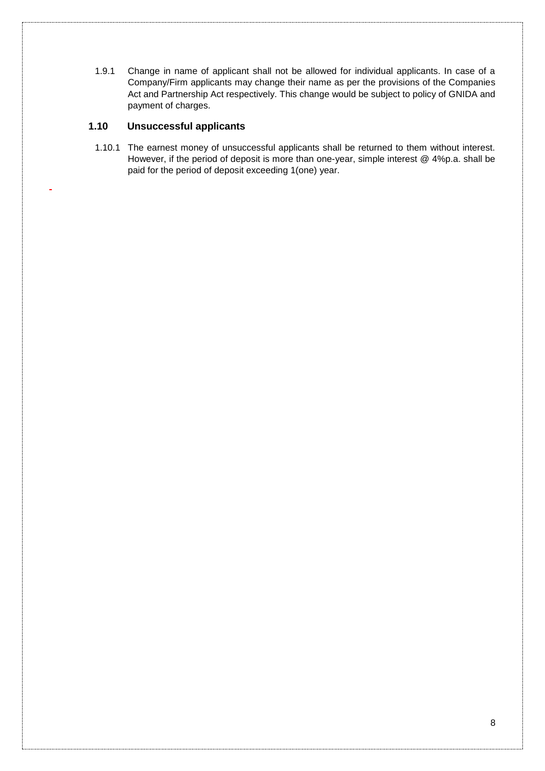1.9.1 Change in name of applicant shall not be allowed for individual applicants. In case of a Company/Firm applicants may change their name as per the provisions of the Companies Act and Partnership Act respectively. This change would be subject to policy of GNIDA and payment of charges.

## <span id="page-10-0"></span>**1.10 Unsuccessful applicants**

1.10.1 The earnest money of unsuccessful applicants shall be returned to them without interest. However, if the period of deposit is more than one-year, simple interest @ 4%p.a. shall be paid for the period of deposit exceeding 1(one) year.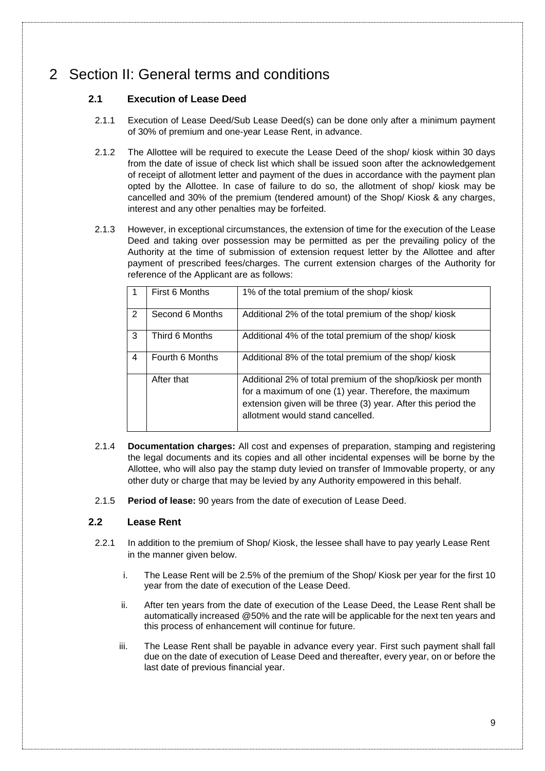## <span id="page-11-1"></span><span id="page-11-0"></span>2 Section II: General terms and conditions

## **2.1 Execution of Lease Deed**

- 2.1.1 Execution of Lease Deed/Sub Lease Deed(s) can be done only after a minimum payment of 30% of premium and one-year Lease Rent, in advance.
- 2.1.2 The Allottee will be required to execute the Lease Deed of the shop/ kiosk within 30 days from the date of issue of check list which shall be issued soon after the acknowledgement of receipt of allotment letter and payment of the dues in accordance with the payment plan opted by the Allottee. In case of failure to do so, the allotment of shop/ kiosk may be cancelled and 30% of the premium (tendered amount) of the Shop/ Kiosk & any charges, interest and any other penalties may be forfeited.
- 2.1.3 However, in exceptional circumstances, the extension of time for the execution of the Lease Deed and taking over possession may be permitted as per the prevailing policy of the Authority at the time of submission of extension request letter by the Allottee and after payment of prescribed fees/charges. The current extension charges of the Authority for reference of the Applicant are as follows:

|   | First 6 Months  | 1% of the total premium of the shop/kiosk                                                                                                                                                                                |
|---|-----------------|--------------------------------------------------------------------------------------------------------------------------------------------------------------------------------------------------------------------------|
| 2 | Second 6 Months | Additional 2% of the total premium of the shop/kiosk                                                                                                                                                                     |
| 3 | Third 6 Months  | Additional 4% of the total premium of the shop/kiosk                                                                                                                                                                     |
| 4 | Fourth 6 Months | Additional 8% of the total premium of the shop/kiosk                                                                                                                                                                     |
|   | After that      | Additional 2% of total premium of the shop/kiosk per month<br>for a maximum of one (1) year. Therefore, the maximum<br>extension given will be three (3) year. After this period the<br>allotment would stand cancelled. |

- 2.1.4 **Documentation charges:** All cost and expenses of preparation, stamping and registering the legal documents and its copies and all other incidental expenses will be borne by the Allottee, who will also pay the stamp duty levied on transfer of Immovable property, or any other duty or charge that may be levied by any Authority empowered in this behalf.
- 2.1.5 **Period of lease:** 90 years from the date of execution of Lease Deed.

## <span id="page-11-2"></span>**2.2 Lease Rent**

- 2.2.1 In addition to the premium of Shop/ Kiosk, the lessee shall have to pay yearly Lease Rent in the manner given below.
	- i. The Lease Rent will be 2.5% of the premium of the Shop/ Kiosk per year for the first 10 year from the date of execution of the Lease Deed.
	- ii. After ten years from the date of execution of the Lease Deed, the Lease Rent shall be automatically increased @50% and the rate will be applicable for the next ten years and this process of enhancement will continue for future.
	- iii. The Lease Rent shall be payable in advance every year. First such payment shall fall due on the date of execution of Lease Deed and thereafter, every year, on or before the last date of previous financial year.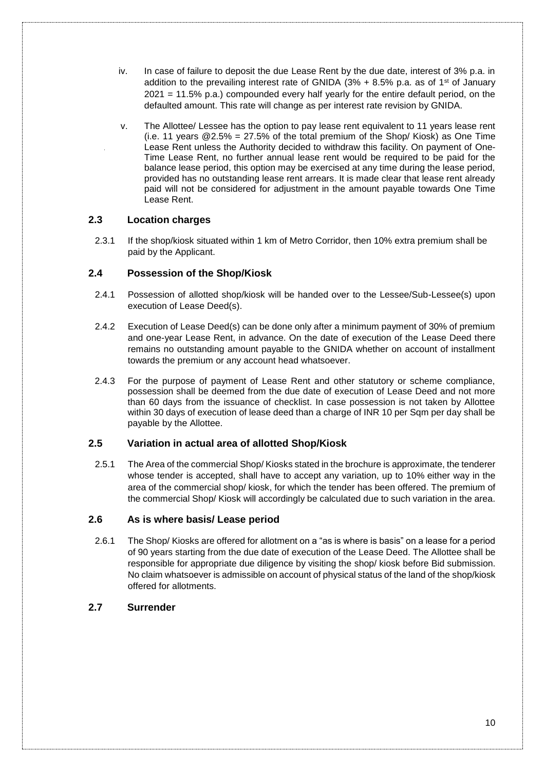- iv. In case of failure to deposit the due Lease Rent by the due date, interest of 3% p.a. in addition to the prevailing interest rate of GNIDA ( $3\%$  +  $8.5\%$  p.a. as of 1<sup>st</sup> of January 2021 = 11.5% p.a.) compounded every half yearly for the entire default period, on the defaulted amount. This rate will change as per interest rate revision by GNIDA.
- v. The Allottee/ Lessee has the option to pay lease rent equivalent to 11 years lease rent (i.e. 11 years  $@2.5\% = 27.5\%$  of the total premium of the Shop/Kiosk) as One Time Lease Rent unless the Authority decided to withdraw this facility. On payment of One-Time Lease Rent, no further annual lease rent would be required to be paid for the balance lease period, this option may be exercised at any time during the lease period, provided has no outstanding lease rent arrears. It is made clear that lease rent already paid will not be considered for adjustment in the amount payable towards One Time Lease Rent.

### <span id="page-12-0"></span>**2.3 Location charges**

2.3.1 If the shop/kiosk situated within 1 km of Metro Corridor, then 10% extra premium shall be paid by the Applicant.

### <span id="page-12-1"></span>**2.4 Possession of the Shop/Kiosk**

- 2.4.1 Possession of allotted shop/kiosk will be handed over to the Lessee/Sub-Lessee(s) upon execution of Lease Deed(s).
- 2.4.2 Execution of Lease Deed(s) can be done only after a minimum payment of 30% of premium and one-year Lease Rent, in advance. On the date of execution of the Lease Deed there remains no outstanding amount payable to the GNIDA whether on account of installment towards the premium or any account head whatsoever.
- 2.4.3 For the purpose of payment of Lease Rent and other statutory or scheme compliance, possession shall be deemed from the due date of execution of Lease Deed and not more than 60 days from the issuance of checklist. In case possession is not taken by Allottee within 30 days of execution of lease deed than a charge of INR 10 per Sqm per day shall be payable by the Allottee.

#### <span id="page-12-2"></span>**2.5 Variation in actual area of allotted Shop/Kiosk**

2.5.1 The Area of the commercial Shop/ Kiosks stated in the brochure is approximate, the tenderer whose tender is accepted, shall have to accept any variation, up to 10% either way in the area of the commercial shop/ kiosk, for which the tender has been offered. The premium of the commercial Shop/ Kiosk will accordingly be calculated due to such variation in the area.

#### <span id="page-12-3"></span>**2.6 As is where basis/ Lease period**

2.6.1 The Shop/ Kiosks are offered for allotment on a "as is where is basis" on a lease for a period of 90 years starting from the due date of execution of the Lease Deed. The Allottee shall be responsible for appropriate due diligence by visiting the shop/ kiosk before Bid submission. No claim whatsoever is admissible on account of physical status of the land of the shop/kiosk offered for allotments.

## <span id="page-12-4"></span>**2.7 Surrender**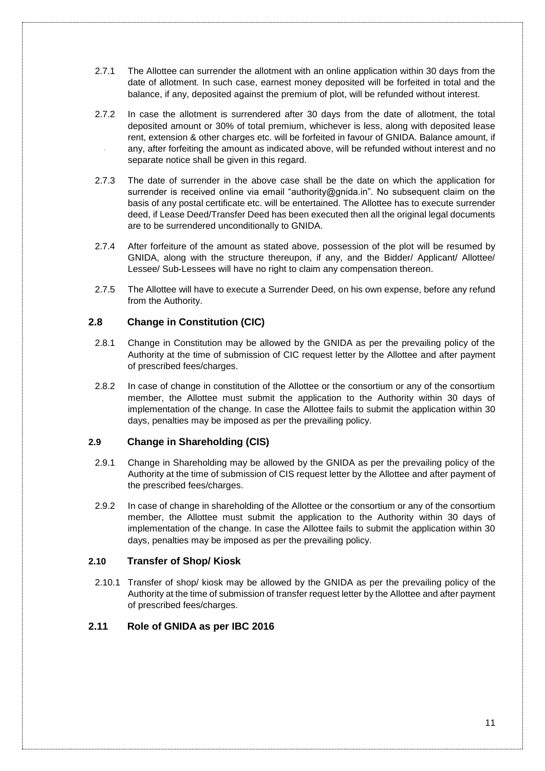- 2.7.1 The Allottee can surrender the allotment with an online application within 30 days from the date of allotment. In such case, earnest money deposited will be forfeited in total and the balance, if any, deposited against the premium of plot, will be refunded without interest.
- 2.7.2 In case the allotment is surrendered after 30 days from the date of allotment, the total deposited amount or 30% of total premium, whichever is less, along with deposited lease rent, extension & other charges etc. will be forfeited in favour of GNIDA. Balance amount, if any, after forfeiting the amount as indicated above, will be refunded without interest and no separate notice shall be given in this regard.
- 2.7.3 The date of surrender in the above case shall be the date on which the application for surrender is received online via email "authority@gnida.in". No subsequent claim on the basis of any postal certificate etc. will be entertained. The Allottee has to execute surrender deed, if Lease Deed/Transfer Deed has been executed then all the original legal documents are to be surrendered unconditionally to GNIDA.
- 2.7.4 After forfeiture of the amount as stated above, possession of the plot will be resumed by GNIDA, along with the structure thereupon, if any, and the Bidder/ Applicant/ Allottee/ Lessee/ Sub-Lessees will have no right to claim any compensation thereon.
- 2.7.5 The Allottee will have to execute a Surrender Deed, on his own expense, before any refund from the Authority.

### <span id="page-13-0"></span>**2.8 Change in Constitution (CIC)**

- 2.8.1 Change in Constitution may be allowed by the GNIDA as per the prevailing policy of the Authority at the time of submission of CIC request letter by the Allottee and after payment of prescribed fees/charges.
- 2.8.2 In case of change in constitution of the Allottee or the consortium or any of the consortium member, the Allottee must submit the application to the Authority within 30 days of implementation of the change. In case the Allottee fails to submit the application within 30 days, penalties may be imposed as per the prevailing policy.

## <span id="page-13-1"></span>**2.9 Change in Shareholding (CIS)**

- 2.9.1 Change in Shareholding may be allowed by the GNIDA as per the prevailing policy of the Authority at the time of submission of CIS request letter by the Allottee and after payment of the prescribed fees/charges.
- 2.9.2 In case of change in shareholding of the Allottee or the consortium or any of the consortium member, the Allottee must submit the application to the Authority within 30 days of implementation of the change. In case the Allottee fails to submit the application within 30 days, penalties may be imposed as per the prevailing policy.

#### <span id="page-13-2"></span>**2.10 Transfer of Shop/ Kiosk**

2.10.1 Transfer of shop/ kiosk may be allowed by the GNIDA as per the prevailing policy of the Authority at the time of submission of transfer request letter by the Allottee and after payment of prescribed fees/charges.

## <span id="page-13-3"></span>**2.11 Role of GNIDA as per IBC 2016**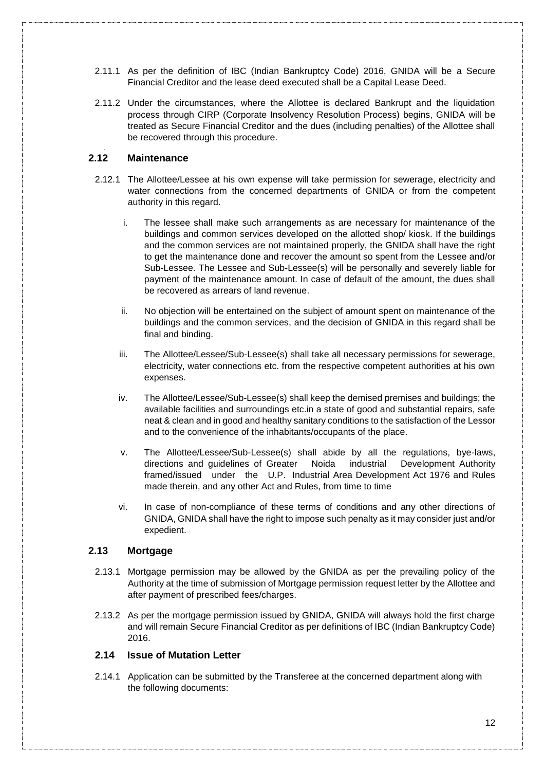- 2.11.1 As per the definition of IBC (Indian Bankruptcy Code) 2016, GNIDA will be a Secure Financial Creditor and the lease deed executed shall be a Capital Lease Deed.
- 2.11.2 Under the circumstances, where the Allottee is declared Bankrupt and the liquidation process through CIRP (Corporate Insolvency Resolution Process) begins, GNIDA will be treated as Secure Financial Creditor and the dues (including penalties) of the Allottee shall be recovered through this procedure.

## **2.12 Maintenance**

- 2.12.1 The Allottee/Lessee at his own expense will take permission for sewerage, electricity and water connections from the concerned departments of GNIDA or from the competent authority in this regard.
	- i. The lessee shall make such arrangements as are necessary for maintenance of the buildings and common services developed on the allotted shop/ kiosk. If the buildings and the common services are not maintained properly, the GNIDA shall have the right to get the maintenance done and recover the amount so spent from the Lessee and/or Sub-Lessee. The Lessee and Sub-Lessee(s) will be personally and severely liable for payment of the maintenance amount. In case of default of the amount, the dues shall be recovered as arrears of land revenue.
	- ii. No objection will be entertained on the subject of amount spent on maintenance of the buildings and the common services, and the decision of GNIDA in this regard shall be final and binding.
	- iii. The Allottee/Lessee/Sub-Lessee(s) shall take all necessary permissions for sewerage, electricity, water connections etc. from the respective competent authorities at his own expenses.
	- iv. The Allottee/Lessee/Sub-Lessee(s) shall keep the demised premises and buildings; the available facilities and surroundings etc.in a state of good and substantial repairs, safe neat & clean and in good and healthy sanitary conditions to the satisfaction of the Lessor and to the convenience of the inhabitants/occupants of the place.
	- v. The Allottee/Lessee/Sub-Lessee(s) shall abide by all the regulations, bye-laws, directions and guidelines of Greater Noida industrial Development Authority framed/issued under the U.P. Industrial Area Development Act 1976 and Rules made therein, and any other Act and Rules, from time to time
	- vi. In case of non-compliance of these terms of conditions and any other directions of GNIDA, GNIDA shall have the right to impose such penalty as it may consider just and/or expedient.

#### <span id="page-14-0"></span>**2.13 Mortgage**

- 2.13.1 Mortgage permission may be allowed by the GNIDA as per the prevailing policy of the Authority at the time of submission of Mortgage permission request letter by the Allottee and after payment of prescribed fees/charges.
- 2.13.2 As per the mortgage permission issued by GNIDA, GNIDA will always hold the first charge and will remain Secure Financial Creditor as per definitions of IBC (Indian Bankruptcy Code) 2016.

#### <span id="page-14-1"></span>**2.14 Issue of Mutation Letter**

2.14.1 Application can be submitted by the Transferee at the concerned department along with the following documents: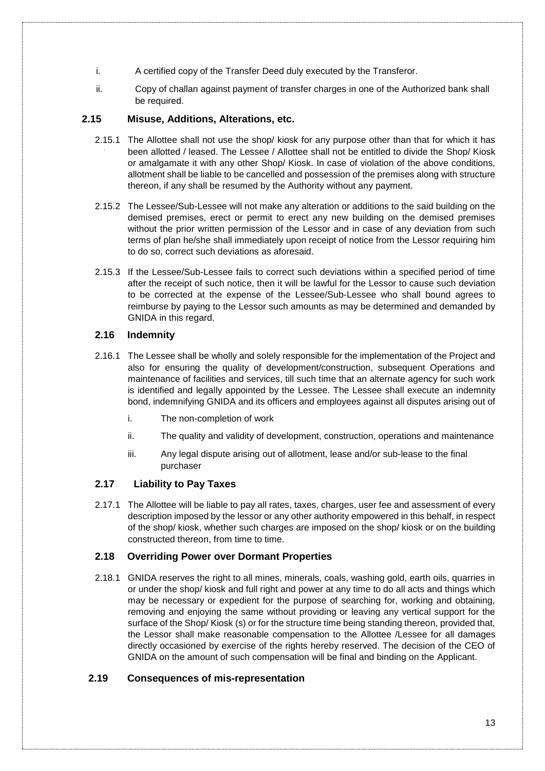- i. A certified copy of the Transfer Deed duly executed by the Transferor.
- ii. Copy of challan against payment of transfer charges in one of the Authorized bank shall be required.

### <span id="page-15-0"></span>**2.15 Misuse, Additions, Alterations, etc.**

- 2.15.1 The Allottee shall not use the shop/ kiosk for any purpose other than that for which it has been allotted / leased. The Lessee / Allottee shall not be entitled to divide the Shop/ Kiosk or amalgamate it with any other Shop/ Kiosk. In case of violation of the above conditions, allotment shall be liable to be cancelled and possession of the premises along with structure thereon, if any shall be resumed by the Authority without any payment.
- 2.15.2 The Lessee/Sub-Lessee will not make any alteration or additions to the said building on the demised premises, erect or permit to erect any new building on the demised premises without the prior written permission of the Lessor and in case of any deviation from such terms of plan he/she shall immediately upon receipt of notice from the Lessor requiring him to do so, correct such deviations as aforesaid.
- 2.15.3 If the Lessee/Sub-Lessee fails to correct such deviations within a specified period of time after the receipt of such notice, then it will be lawful for the Lessor to cause such deviation to be corrected at the expense of the Lessee/Sub-Lessee who shall bound agrees to reimburse by paying to the Lessor such amounts as may be determined and demanded by GNIDA in this regard.

## <span id="page-15-1"></span>**2.16 Indemnity**

- 2.16.1 The Lessee shall be wholly and solely responsible for the implementation of the Project and also for ensuring the quality of development/construction, subsequent Operations and maintenance of facilities and services, till such time that an alternate agency for such work is identified and legally appointed by the Lessee. The Lessee shall execute an indemnity bond, indemnifying GNIDA and its officers and employees against all disputes arising out of
	- i. The non-completion of work
	- ii. The quality and validity of development, construction, operations and maintenance
	- iii. Any legal dispute arising out of allotment, lease and/or sub-lease to the final purchaser

#### <span id="page-15-2"></span>**2.17 Liability to Pay Taxes**

2.17.1 The Allottee will be liable to pay all rates, taxes, charges, user fee and assessment of every description imposed by the lessor or any other authority empowered in this behalf, in respect of the shop/ kiosk, whether such charges are imposed on the shop/ kiosk or on the building constructed thereon, from time to time.

#### <span id="page-15-3"></span>**2.18 Overriding Power over Dormant Properties**

2.18.1 GNIDA reserves the right to all mines, minerals, coals, washing gold, earth oils, quarries in or under the shop/ kiosk and full right and power at any time to do all acts and things which may be necessary or expedient for the purpose of searching for, working and obtaining, removing and enjoying the same without providing or leaving any vertical support for the surface of the Shop/ Kiosk (s) or for the structure time being standing thereon, provided that, the Lessor shall make reasonable compensation to the Allottee /Lessee for all damages directly occasioned by exercise of the rights hereby reserved. The decision of the CEO of GNIDA on the amount of such compensation will be final and binding on the Applicant.

## <span id="page-15-4"></span>**2.19 Consequences of mis-representation**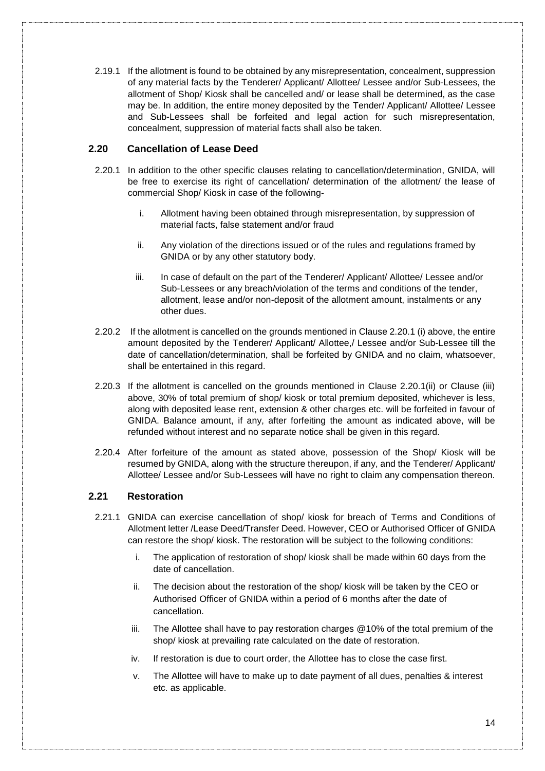2.19.1 If the allotment is found to be obtained by any misrepresentation, concealment, suppression of any material facts by the Tenderer/ Applicant/ Allottee/ Lessee and/or Sub-Lessees, the allotment of Shop/ Kiosk shall be cancelled and/ or lease shall be determined, as the case may be. In addition, the entire money deposited by the Tender/ Applicant/ Allottee/ Lessee and Sub-Lessees shall be forfeited and legal action for such misrepresentation, concealment, suppression of material facts shall also be taken.

## <span id="page-16-0"></span>**2.20 Cancellation of Lease Deed**

- 2.20.1 In addition to the other specific clauses relating to cancellation/determination, GNIDA, will be free to exercise its right of cancellation/ determination of the allotment/ the lease of commercial Shop/ Kiosk in case of the following
	- i. Allotment having been obtained through misrepresentation, by suppression of material facts, false statement and/or fraud
	- ii. Any violation of the directions issued or of the rules and regulations framed by GNIDA or by any other statutory body.
	- iii. In case of default on the part of the Tenderer/ Applicant/ Allottee/ Lessee and/or Sub-Lessees or any breach/violation of the terms and conditions of the tender, allotment, lease and/or non-deposit of the allotment amount, instalments or any other dues.
- 2.20.2 If the allotment is cancelled on the grounds mentioned in Clause 2.20.1 (i) above, the entire amount deposited by the Tenderer/ Applicant/ Allottee,/ Lessee and/or Sub-Lessee till the date of cancellation/determination, shall be forfeited by GNIDA and no claim, whatsoever, shall be entertained in this regard.
- 2.20.3 If the allotment is cancelled on the grounds mentioned in Clause 2.20.1(ii) or Clause (iii) above, 30% of total premium of shop/ kiosk or total premium deposited, whichever is less, along with deposited lease rent, extension & other charges etc. will be forfeited in favour of GNIDA. Balance amount, if any, after forfeiting the amount as indicated above, will be refunded without interest and no separate notice shall be given in this regard.
- 2.20.4 After forfeiture of the amount as stated above, possession of the Shop/ Kiosk will be resumed by GNIDA, along with the structure thereupon, if any, and the Tenderer/ Applicant/ Allottee/ Lessee and/or Sub-Lessees will have no right to claim any compensation thereon.

#### <span id="page-16-1"></span>**2.21 Restoration**

- 2.21.1 GNIDA can exercise cancellation of shop/ kiosk for breach of Terms and Conditions of Allotment letter /Lease Deed/Transfer Deed. However, CEO or Authorised Officer of GNIDA can restore the shop/ kiosk. The restoration will be subject to the following conditions:
	- i. The application of restoration of shop/ kiosk shall be made within 60 days from the date of cancellation.
	- ii. The decision about the restoration of the shop/ kiosk will be taken by the CEO or Authorised Officer of GNIDA within a period of 6 months after the date of cancellation.
	- iii. The Allottee shall have to pay restoration charges @10% of the total premium of the shop/ kiosk at prevailing rate calculated on the date of restoration.
	- iv. If restoration is due to court order, the Allottee has to close the case first.
	- v. The Allottee will have to make up to date payment of all dues, penalties & interest etc. as applicable.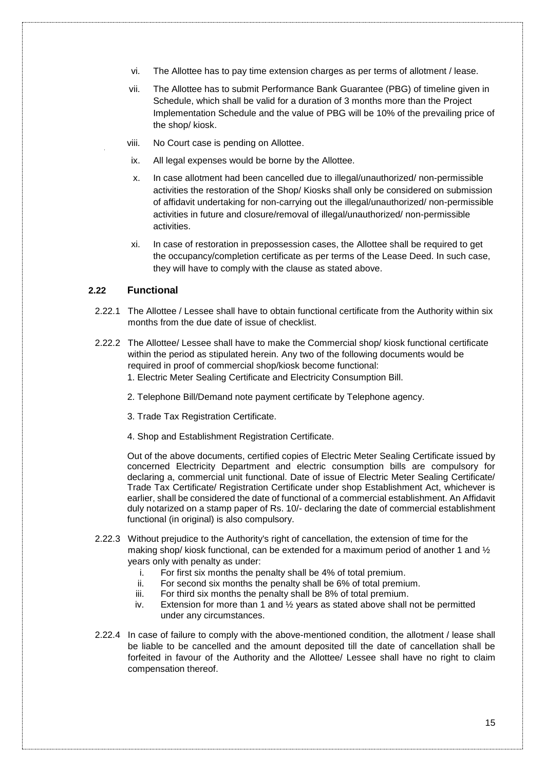- vi. The Allottee has to pay time extension charges as per terms of allotment / lease.
- vii. The Allottee has to submit Performance Bank Guarantee (PBG) of timeline given in Schedule, which shall be valid for a duration of 3 months more than the Project Implementation Schedule and the value of PBG will be 10% of the prevailing price of the shop/ kiosk.
- viii. No Court case is pending on Allottee.
- ix. All legal expenses would be borne by the Allottee.
- x. In case allotment had been cancelled due to illegal/unauthorized/ non-permissible activities the restoration of the Shop/ Kiosks shall only be considered on submission of affidavit undertaking for non-carrying out the illegal/unauthorized/ non-permissible activities in future and closure/removal of illegal/unauthorized/ non-permissible activities.
- <span id="page-17-1"></span>xi. In case of restoration in prepossession cases, the Allottee shall be required to get the occupancy/completion certificate as per terms of the Lease Deed. In such case, they will have to comply with the clause as stated above.

#### <span id="page-17-0"></span>**2.22 Functional**

- 2.22.1 The Allottee / Lessee shall have to obtain functional certificate from the Authority within six months from the due date of issue of checklist.
- 2.22.2 The Allottee/ Lessee shall have to make the Commercial shop/ kiosk functional certificate within the period as stipulated herein. Any two of the following documents would be required in proof of commercial shop/kiosk become functional:
	- 1. Electric Meter Sealing Certificate and Electricity Consumption Bill.
	- 2. Telephone Bill/Demand note payment certificate by Telephone agency.
	- 3. Trade Tax Registration Certificate.
	- 4. Shop and Establishment Registration Certificate.

Out of the above documents, certified copies of Electric Meter Sealing Certificate issued by concerned Electricity Department and electric consumption bills are compulsory for declaring a, commercial unit functional. Date of issue of Electric Meter Sealing Certificate/ Trade Tax Certificate/ Registration Certificate under shop Establishment Act, whichever is earlier, shall be considered the date of functional of a commercial establishment. An Affidavit duly notarized on a stamp paper of Rs. 10/- declaring the date of commercial establishment functional (in original) is also compulsory.

- 2.22.3 Without prejudice to the Authority's right of cancellation, the extension of time for the making shop/ kiosk functional, can be extended for a maximum period of another 1 and  $\frac{1}{2}$ years only with penalty as under:
	- i. For first six months the penalty shall be 4% of total premium.
	- ii. For second six months the penalty shall be 6% of total premium.
	- iii. For third six months the penalty shall be 8% of total premium.
	- iv. Extension for more than 1 and ½ years as stated above shall not be permitted under any circumstances.
- 2.22.4 In case of failure to comply with the above-mentioned condition, the allotment / lease shall be liable to be cancelled and the amount deposited till the date of cancellation shall be forfeited in favour of the Authority and the Allottee/ Lessee shall have no right to claim compensation thereof.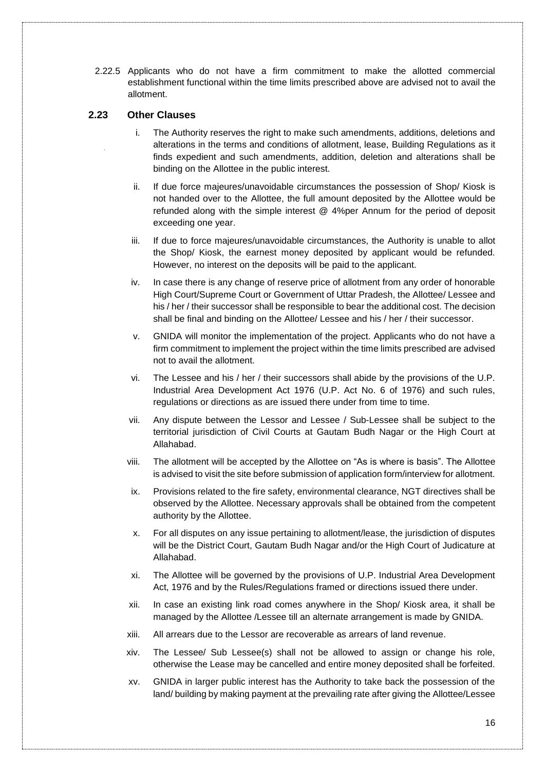2.22.5 Applicants who do not have a firm commitment to make the allotted commercial establishment functional within the time limits prescribed above are advised not to avail the allotment.

## <span id="page-18-0"></span>**2.23 Other Clauses**

- i. The Authority reserves the right to make such amendments, additions, deletions and alterations in the terms and conditions of allotment, lease, Building Regulations as it finds expedient and such amendments, addition, deletion and alterations shall be binding on the Allottee in the public interest.
- ii. If due force majeures/unavoidable circumstances the possession of Shop/ Kiosk is not handed over to the Allottee, the full amount deposited by the Allottee would be refunded along with the simple interest @ 4%per Annum for the period of deposit exceeding one year.
- iii. If due to force majeures/unavoidable circumstances, the Authority is unable to allot the Shop/ Kiosk, the earnest money deposited by applicant would be refunded. However, no interest on the deposits will be paid to the applicant.
- iv. In case there is any change of reserve price of allotment from any order of honorable High Court/Supreme Court or Government of Uttar Pradesh, the Allottee/ Lessee and his / her / their successor shall be responsible to bear the additional cost. The decision shall be final and binding on the Allottee/ Lessee and his / her / their successor.
- v. GNIDA will monitor the implementation of the project. Applicants who do not have a firm commitment to implement the project within the time limits prescribed are advised not to avail the allotment.
- vi. The Lessee and his / her / their successors shall abide by the provisions of the U.P. Industrial Area Development Act 1976 (U.P. Act No. 6 of 1976) and such rules, regulations or directions as are issued there under from time to time.
- vii. Any dispute between the Lessor and Lessee / Sub-Lessee shall be subject to the territorial jurisdiction of Civil Courts at Gautam Budh Nagar or the High Court at Allahabad.
- viii. The allotment will be accepted by the Allottee on "As is where is basis". The Allottee is advised to visit the site before submission of application form/interview for allotment.
- ix. Provisions related to the fire safety, environmental clearance, NGT directives shall be observed by the Allottee. Necessary approvals shall be obtained from the competent authority by the Allottee.
- x. For all disputes on any issue pertaining to allotment/lease, the jurisdiction of disputes will be the District Court, Gautam Budh Nagar and/or the High Court of Judicature at Allahabad.
- xi. The Allottee will be governed by the provisions of U.P. Industrial Area Development Act, 1976 and by the Rules/Regulations framed or directions issued there under.
- xii. In case an existing link road comes anywhere in the Shop/ Kiosk area, it shall be managed by the Allottee /Lessee till an alternate arrangement is made by GNIDA.
- xiii. All arrears due to the Lessor are recoverable as arrears of land revenue.
- xiv. The Lessee/ Sub Lessee(s) shall not be allowed to assign or change his role, otherwise the Lease may be cancelled and entire money deposited shall be forfeited.
- xv. GNIDA in larger public interest has the Authority to take back the possession of the land/ building by making payment at the prevailing rate after giving the Allottee/Lessee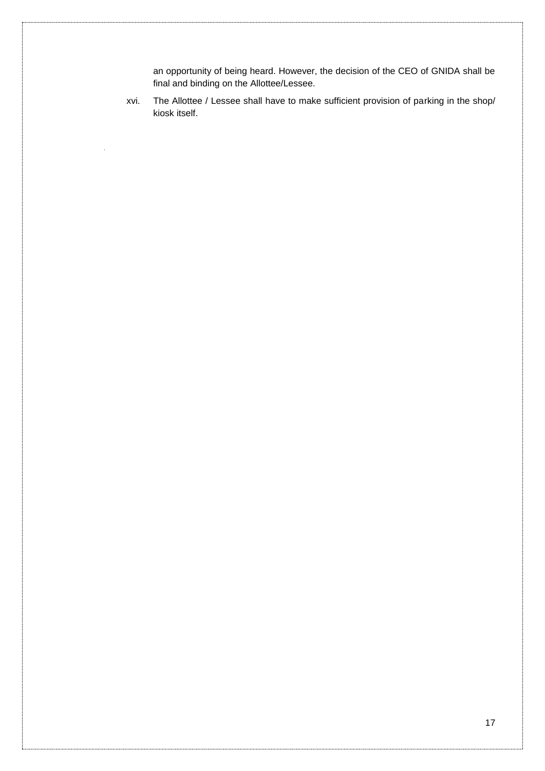an opportunity of being heard. However, the decision of the CEO of GNIDA shall be final and binding on the Allottee/Lessee.

xvi. The Allottee / Lessee shall have to make sufficient provision of parking in the shop/ kiosk itself.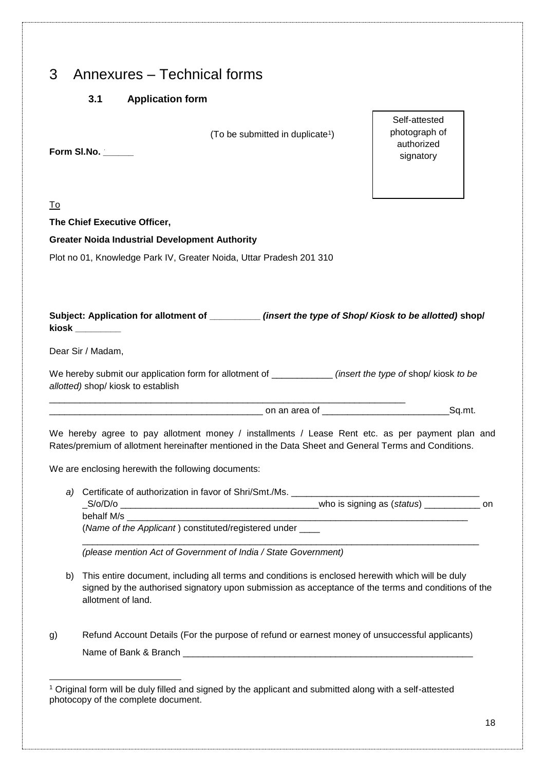<span id="page-20-1"></span><span id="page-20-0"></span>

| 3 | Annexures – Technical forms |  |  |
|---|-----------------------------|--|--|
|---|-----------------------------|--|--|

## **3.1 Application form**

**Greater Noida Industrial Development Authority**

(To be submitted in duplicate<sup>1</sup>)

**Form Sl.No. \_\_\_\_\_\_**

**The Chief Executive Officer,**

To

-

Self-attested photograph of authorized signatory

| Subject: Application for allotment of<br>kiosk | (insert the type of Shop/Kiosk to be allotted) shop/ |
|------------------------------------------------|------------------------------------------------------|

Dear Sir / Madam,

| We hereby submit our application form for allotment of | (insert the type of shop/ kiosk to be |
|--------------------------------------------------------|---------------------------------------|
| allotted) shop/ kiosk to establish                     |                                       |

on an area of Gq.mt.

We hereby agree to pay allotment money / installments / Lease Rent etc. as per payment plan and Rates/premium of allotment hereinafter mentioned in the Data Sheet and General Terms and Conditions.

We are enclosing herewith the following documents:

*a*) Certificate of authorization in favor of Shri/Smt./Ms. \_S/o/D/o \_\_\_\_\_\_\_\_\_\_\_\_\_\_\_\_\_\_\_\_\_\_\_\_\_\_\_\_\_\_\_\_\_\_\_\_\_\_\_who is signing as (*status*) \_\_\_\_\_\_\_\_\_\_\_ on

behalf M/s (*Name of the Applicant* ) constituted/registered under \_\_\_\_

\_\_\_\_\_\_\_\_\_\_\_\_\_\_\_\_\_\_\_\_\_\_\_\_\_\_\_\_\_\_\_\_\_\_\_\_\_\_\_\_\_\_\_\_\_\_\_\_\_\_\_\_\_\_\_\_\_\_\_\_\_\_\_\_\_\_\_\_\_\_

\_\_\_\_\_\_\_\_\_\_\_\_\_\_\_\_\_\_\_\_\_\_\_\_\_\_\_\_\_\_\_\_\_\_\_\_\_\_\_\_\_\_\_\_\_\_\_\_\_\_\_\_\_\_\_\_\_\_\_\_\_\_\_\_\_\_\_\_\_\_\_\_\_\_\_\_\_\_

*(please mention Act of Government of India / State Government)*

- b) This entire document, including all terms and conditions is enclosed herewith which will be duly signed by the authorised signatory upon submission as acceptance of the terms and conditions of the allotment of land.
- g) Refund Account Details (For the purpose of refund or earnest money of unsuccessful applicants) Name of Bank & Branch

<sup>1</sup> Original form will be duly filled and signed by the applicant and submitted along with a self-attested photocopy of the complete document.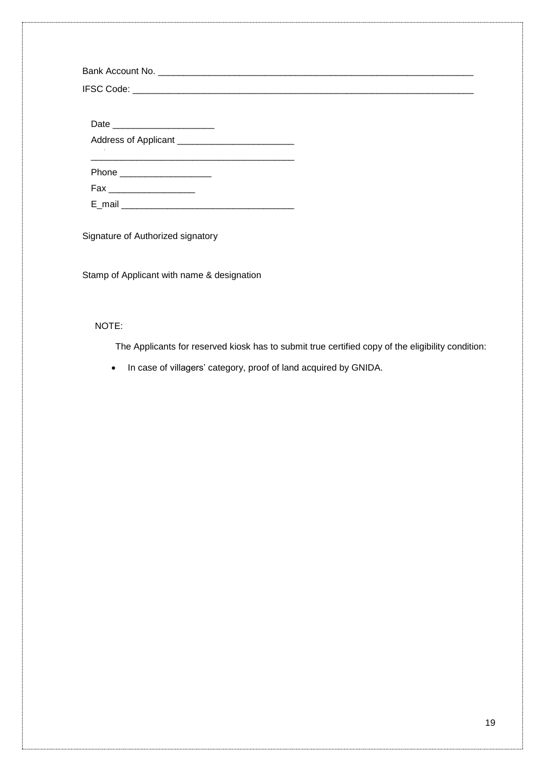| Phone ____________________ |  |  |
|----------------------------|--|--|
|                            |  |  |
|                            |  |  |

Signature of Authorized signatory

Stamp of Applicant with name & designation

## NOTE:

The Applicants for reserved kiosk has to submit true certified copy of the eligibility condition:

• In case of villagers' category, proof of land acquired by GNIDA.